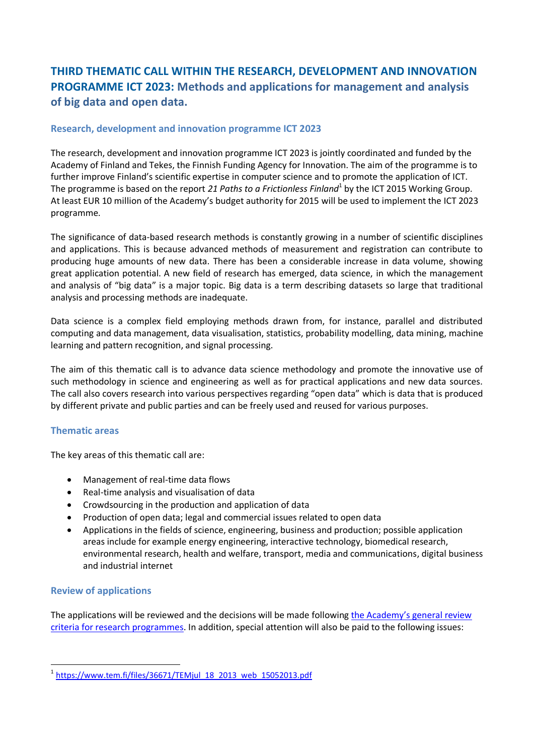# **THIRD THEMATIC CALL WITHIN THE RESEARCH, DEVELOPMENT AND INNOVATION PROGRAMME ICT 2023: Methods and applications for management and analysis of big data and open data.**

## **Research, development and innovation programme ICT 2023**

The research, development and innovation programme ICT 2023 is jointly coordinated and funded by the Academy of Finland and Tekes, the Finnish Funding Agency for Innovation. The aim of the programme is to further improve Finland's scientific expertise in computer science and to promote the application of ICT. The programme is based on the report 21 Paths to a Frictionless Finland<sup>1</sup> by the ICT 2015 Working Group. At least EUR 10 million of the Academy's budget authority for 2015 will be used to implement the ICT 2023 programme.

The significance of data-based research methods is constantly growing in a number of scientific disciplines and applications. This is because advanced methods of measurement and registration can contribute to producing huge amounts of new data. There has been a considerable increase in data volume, showing great application potential. A new field of research has emerged, data science, in which the management and analysis of "big data" is a major topic. Big data is a term describing datasets so large that traditional analysis and processing methods are inadequate.

Data science is a complex field employing methods drawn from, for instance, parallel and distributed computing and data management, data visualisation, statistics, probability modelling, data mining, machine learning and pattern recognition, and signal processing.

The aim of this thematic call is to advance data science methodology and promote the innovative use of such methodology in science and engineering as well as for practical applications and new data sources. The call also covers research into various perspectives regarding "open data" which is data that is produced by different private and public parties and can be freely used and reused for various purposes.

#### **Thematic areas**

The key areas of this thematic call are:

- Management of real-time data flows
- Real-time analysis and visualisation of data
- Crowdsourcing in the production and application of data
- Production of open data; legal and commercial issues related to open data
- Applications in the fields of science, engineering, business and production; possible application areas include for example energy engineering, interactive technology, biomedical research, environmental research, health and welfare, transport, media and communications, digital business and industrial internet

### **Review of applications**

1

The applications will be reviewed and the decisions will be made following the Academy's general review [criteria for research programmes.](http://www.aka.fi/arviointi_etusivu_en) In addition, special attention will also be paid to the following issues:

<sup>1</sup> [https://www.tem.fi/files/36671/TEMjul\\_18\\_2013\\_web\\_15052013.pdf](https://www.tem.fi/files/36671/TEMjul_18_2013_web_15052013.pdf)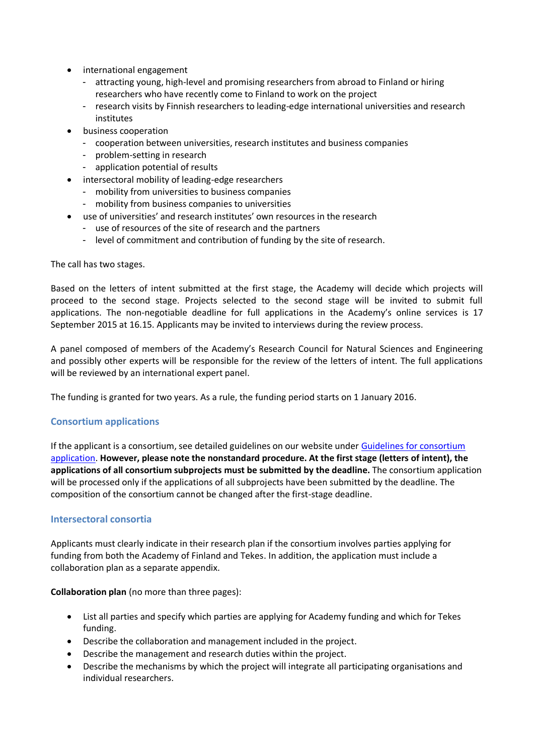- international engagement
	- attracting young, high-level and promising researchers from abroad to Finland or hiring researchers who have recently come to Finland to work on the project
	- research visits by Finnish researchers to leading-edge international universities and research institutes
- business cooperation
	- cooperation between universities, research institutes and business companies
	- problem-setting in research
	- application potential of results
- intersectoral mobility of leading-edge researchers
	- mobility from universities to business companies
	- mobility from business companies to universities
- use of universities' and research institutes' own resources in the research
	- use of resources of the site of research and the partners
	- level of commitment and contribution of funding by the site of research.

The call has two stages.

Based on the letters of intent submitted at the first stage, the Academy will decide which projects will proceed to the second stage. Projects selected to the second stage will be invited to submit full applications. The non-negotiable deadline for full applications in the Academy's online services is 17 September 2015 at 16.15. Applicants may be invited to interviews during the review process.

A panel composed of members of the Academy's Research Council for Natural Sciences and Engineering and possibly other experts will be responsible for the review of the letters of intent. The full applications will be reviewed by an international expert panel.

The funding is granted for two years. As a rule, the funding period starts on 1 January 2016.

### **Consortium applications**

If the applicant is a consortium, see detailed guidelines on our website under [Guidelines for consortium](http://www.aka.fi/konsortiohakemus_en)  [application.](http://www.aka.fi/konsortiohakemus_en) **However, please note the nonstandard procedure. At the first stage (letters of intent), the applications of all consortium subprojects must be submitted by the deadline.** The consortium application will be processed only if the applications of all subprojects have been submitted by the deadline. The composition of the consortium cannot be changed after the first-stage deadline.

### **Intersectoral consortia**

Applicants must clearly indicate in their research plan if the consortium involves parties applying for funding from both the Academy of Finland and Tekes. In addition, the application must include a collaboration plan as a separate appendix.

**Collaboration plan** (no more than three pages):

- List all parties and specify which parties are applying for Academy funding and which for Tekes funding.
- Describe the collaboration and management included in the project.
- Describe the management and research duties within the project.
- Describe the mechanisms by which the project will integrate all participating organisations and individual researchers.